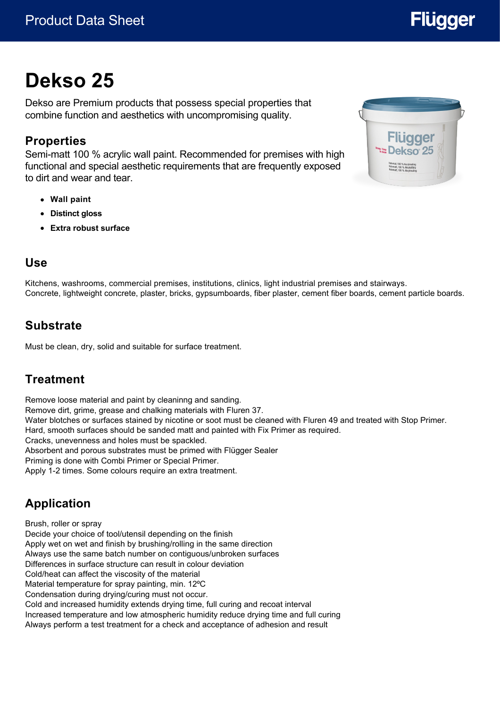# **Dekso 25**

Dekso are Premium products that possess special properties that combine function and aesthetics with uncompromising quality.

#### **Properties**

Semi-matt 100 % acrylic wall paint. Recommended for premises with high functional and special aesthetic requirements that are frequently exposed to dirt and wear and tear.

- **Wall paint**
- **Distinct gloss**
- **Extra robust surface**

#### **Use**

Kitchens, washrooms, commercial premises, institutions, clinics, light industrial premises and stairways. Concrete, lightweight concrete, plaster, bricks, gypsumboards, fiber plaster, cement fiber boards, cement particle boards.

### **Substrate**

Must be clean, dry, solid and suitable for surface treatment.

# **Treatment**

Remove loose material and paint by cleaninng and sanding. Remove dirt, grime, grease and chalking materials with Fluren 37. Water blotches or surfaces stained by nicotine or soot must be cleaned with Fluren 49 and treated with Stop Primer. Hard, smooth surfaces should be sanded matt and painted with Fix Primer as required. Cracks, unevenness and holes must be spackled. Absorbent and porous substrates must be primed with Flügger Sealer Priming is done with Combi Primer or Special Primer. Apply 1-2 times. Some colours require an extra treatment.

# **Application**

Brush, roller or spray Decide your choice of tool/utensil depending on the finish Apply wet on wet and finish by brushing/rolling in the same direction Always use the same batch number on contiguous/unbroken surfaces Differences in surface structure can result in colour deviation Cold/heat can affect the viscosity of the material Material temperature for spray painting, min. 12°C Condensation during drying/curing must not occur. Cold and increased humidity extends drying time, full curing and recoat interval Increased temperature and low atmospheric humidity reduce drying time and full curing Always perform a test treatment for a check and acceptance of adhesion and result